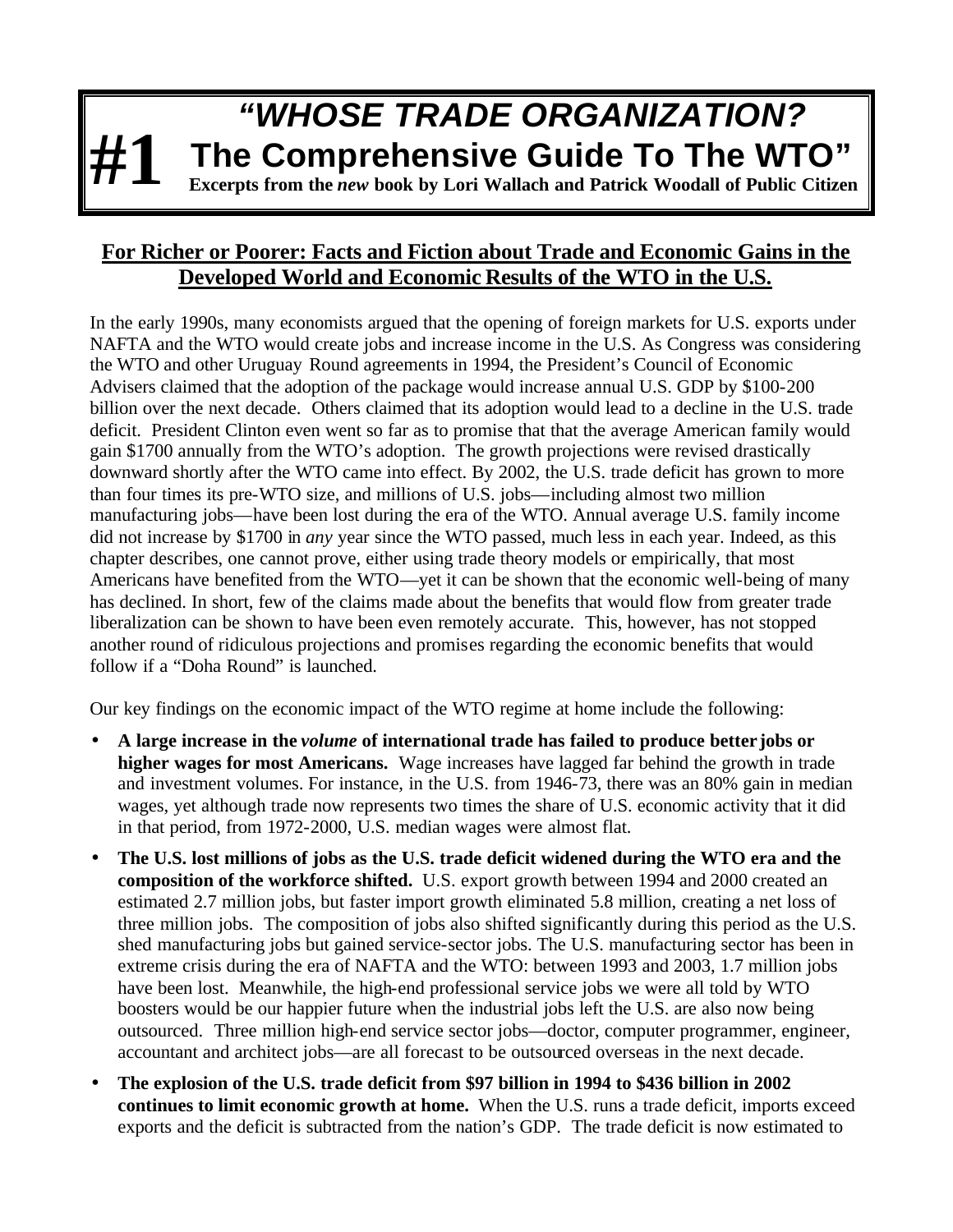## *"WHOSE TRADE ORGANIZATION?* **The Comprehensive Guide To The WTO"**

**Excerpts from the** *new* **book by Lori Wallach and Patrick Woodall of Public Citizen**

## **For Richer or Poorer: Facts and Fiction about Trade and Economic Gains in the Developed World and Economic Results of the WTO in the U.S.**

**#1**

In the early 1990s, many economists argued that the opening of foreign markets for U.S. exports under NAFTA and the WTO would create jobs and increase income in the U.S. As Congress was considering the WTO and other Uruguay Round agreements in 1994, the President's Council of Economic Advisers claimed that the adoption of the package would increase annual U.S. GDP by \$100-200 billion over the next decade. Others claimed that its adoption would lead to a decline in the U.S. trade deficit. President Clinton even went so far as to promise that that the average American family would gain \$1700 annually from the WTO's adoption. The growth projections were revised drastically downward shortly after the WTO came into effect. By 2002, the U.S. trade deficit has grown to more than four times its pre-WTO size, and millions of U.S. jobs—including almost two million manufacturing jobs—have been lost during the era of the WTO. Annual average U.S. family income did not increase by \$1700 in *any* year since the WTO passed, much less in each year. Indeed, as this chapter describes, one cannot prove, either using trade theory models or empirically, that most Americans have benefited from the WTO—yet it can be shown that the economic well-being of many has declined. In short, few of the claims made about the benefits that would flow from greater trade liberalization can be shown to have been even remotely accurate. This, however, has not stopped another round of ridiculous projections and promises regarding the economic benefits that would follow if a "Doha Round" is launched.

Our key findings on the economic impact of the WTO regime at home include the following:

- **A large increase in the** *volume* **of international trade has failed to produce better jobs or higher wages for most Americans.** Wage increases have lagged far behind the growth in trade and investment volumes. For instance, in the U.S. from 1946-73, there was an 80% gain in median wages, yet although trade now represents two times the share of U.S. economic activity that it did in that period, from 1972-2000, U.S. median wages were almost flat.
- **The U.S. lost millions of jobs as the U.S. trade deficit widened during the WTO era and the composition of the workforce shifted.** U.S. export growth between 1994 and 2000 created an estimated 2.7 million jobs, but faster import growth eliminated 5.8 million, creating a net loss of three million jobs.The composition of jobs also shifted significantly during this period as the U.S. shed manufacturing jobs but gained service-sector jobs. The U.S. manufacturing sector has been in extreme crisis during the era of NAFTA and the WTO: between 1993 and 2003, 1.7 million jobs have been lost. Meanwhile, the high-end professional service jobs we were all told by WTO boosters would be our happier future when the industrial jobs left the U.S. are also now being outsourced. Three million high-end service sector jobs—doctor, computer programmer, engineer, accountant and architect jobs—are all forecast to be outsourced overseas in the next decade.
- **The explosion of the U.S. trade deficit from \$97 billion in 1994 to \$436 billion in 2002 continues to limit economic growth at home.** When the U.S. runs a trade deficit, imports exceed exports and the deficit is subtracted from the nation's GDP. The trade deficit is now estimated to